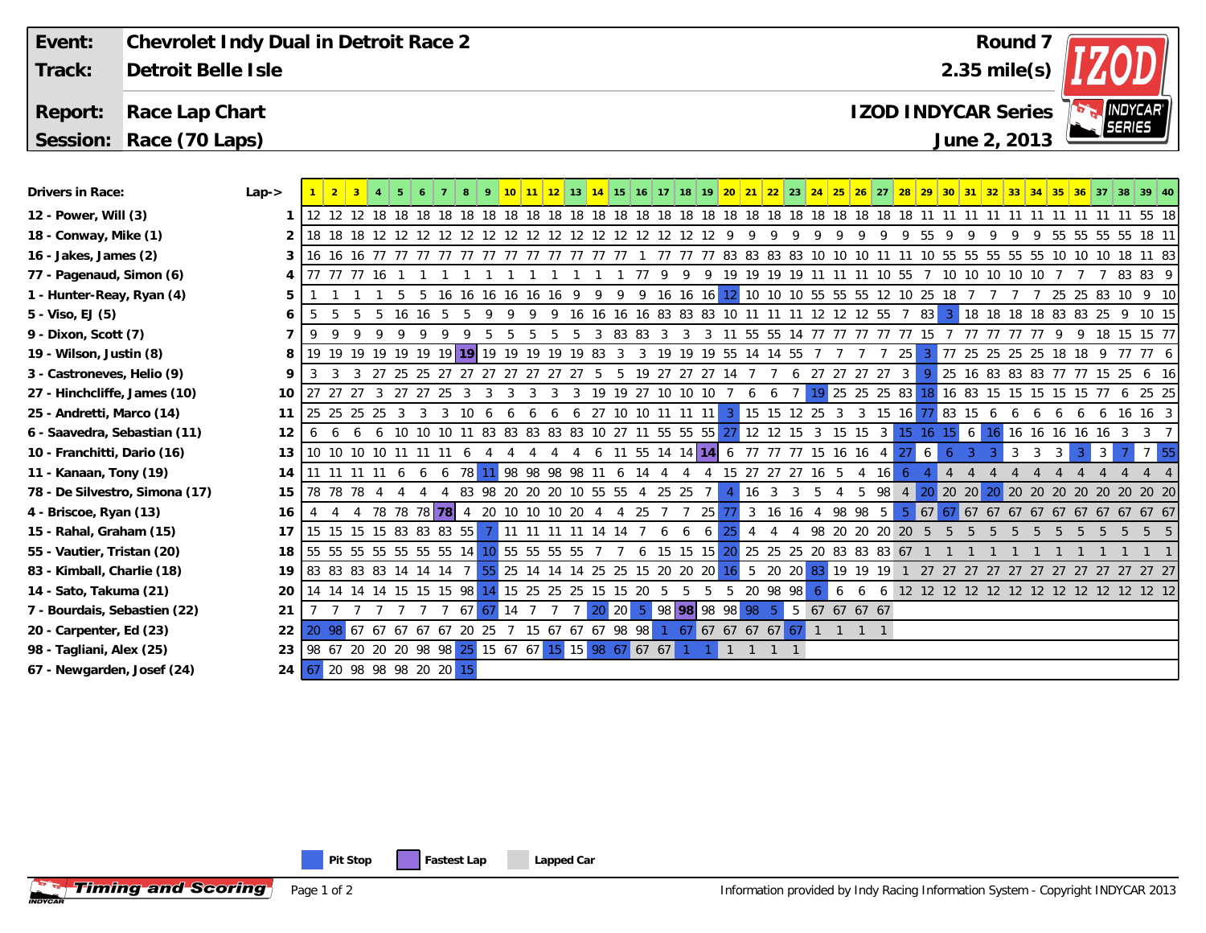| Event:<br>Track:                   | Chevrolet Indy Dual in Detroit Race 2<br>Detroit Belle Isle |           |                                                                                 |            |                                                                                     |         |                |                                   |    |     |                                   |                 |  |  |  | Round 7<br>$2.35$ mile(s)                                       |  |           |   |                      |   |          |                                          |                 |    |   |  |   |   |   |                      |  |                   |                                                                                                                                                             |  |
|------------------------------------|-------------------------------------------------------------|-----------|---------------------------------------------------------------------------------|------------|-------------------------------------------------------------------------------------|---------|----------------|-----------------------------------|----|-----|-----------------------------------|-----------------|--|--|--|-----------------------------------------------------------------|--|-----------|---|----------------------|---|----------|------------------------------------------|-----------------|----|---|--|---|---|---|----------------------|--|-------------------|-------------------------------------------------------------------------------------------------------------------------------------------------------------|--|
|                                    |                                                             |           |                                                                                 |            |                                                                                     |         |                |                                   |    |     |                                   |                 |  |  |  |                                                                 |  |           |   |                      |   |          |                                          |                 |    |   |  |   |   |   |                      |  |                   |                                                                                                                                                             |  |
| Report:                            | Race Lap Chart                                              |           |                                                                                 |            |                                                                                     |         |                |                                   |    |     |                                   |                 |  |  |  | <b>INDYCAR</b> ®<br><b>IZOD INDYCAR Series</b><br><b>SERIES</b> |  |           |   |                      |   |          |                                          |                 |    |   |  |   |   |   |                      |  |                   |                                                                                                                                                             |  |
|                                    | June 2, 2013<br>Session: Race (70 Laps)                     |           |                                                                                 |            |                                                                                     |         |                |                                   |    |     |                                   |                 |  |  |  |                                                                 |  |           |   |                      |   |          |                                          |                 |    |   |  |   |   |   |                      |  |                   |                                                                                                                                                             |  |
|                                    |                                                             |           |                                                                                 |            |                                                                                     |         |                |                                   |    |     |                                   |                 |  |  |  |                                                                 |  |           |   |                      |   |          |                                          |                 |    |   |  |   |   |   |                      |  |                   |                                                                                                                                                             |  |
| Drivers in Race:                   |                                                             | $Lap - >$ |                                                                                 |            |                                                                                     |         |                |                                   |    |     |                                   |                 |  |  |  |                                                                 |  |           |   |                      |   |          |                                          |                 |    |   |  |   |   |   |                      |  |                   | 10 11 12 13 14 15 16 17 18 19 20 21 22 23 24 25 26 27 28 29 30 31 32 33 34 35 36 37 38 39 40                                                                |  |
|                                    | 12 - Power, Will (3)                                        |           |                                                                                 |            |                                                                                     |         |                |                                   |    |     |                                   |                 |  |  |  |                                                                 |  |           |   |                      |   |          |                                          |                 |    |   |  |   |   |   |                      |  |                   |                                                                                                                                                             |  |
| 18 - Conway, Mike (1)              |                                                             |           |                                                                                 |            |                                                                                     |         |                |                                   |    |     |                                   |                 |  |  |  |                                                                 |  | -9        | 9 | -9                   | 9 |          |                                          |                 |    |   |  |   | 9 |   |                      |  | 55 55 55 55 18 11 |                                                                                                                                                             |  |
| 16 - Jakes, James (2)              |                                                             |           |                                                                                 |            |                                                                                     |         |                |                                   |    |     |                                   |                 |  |  |  |                                                                 |  |           |   |                      |   |          |                                          |                 |    |   |  |   |   |   |                      |  |                   |                                                                                                                                                             |  |
| 77 - Pagenaud, Simon (6)           |                                                             |           |                                                                                 | 77 77 16   |                                                                                     |         |                |                                   |    |     |                                   |                 |  |  |  |                                                                 |  |           |   |                      |   |          | 1 77 9 9 9 19 19 19 19 11 11 11 10 55    |                 |    |   |  |   |   |   | 7 10 10 10 10 10 7 7 |  |                   | 7 83 83 9                                                                                                                                                   |  |
| 1 - Hunter-Reay, Ryan (4)          |                                                             |           |                                                                                 |            |                                                                                     |         |                |                                   |    |     |                                   |                 |  |  |  |                                                                 |  |           |   |                      |   |          |                                          |                 |    |   |  |   |   |   |                      |  |                   | 5 5 16 16 16 16 16 16 9 9 9 16 16 16 12 10 10 10 55 55 55 12 10 25 18 7 7 7 7 25 25 83 10 9 10                                                              |  |
| 5 - Viso, EJ (5)                   |                                                             |           |                                                                                 |            | 5 5 16 16 5 5 9                                                                     |         |                |                                   |    |     |                                   |                 |  |  |  |                                                                 |  |           |   |                      |   |          |                                          |                 |    |   |  |   |   |   |                      |  |                   | 9 9 9 16 16 16 16 83 83 83 10 11 11 11 12 12 12 55 7 83 3 18 18 18 18 83 83 25 9 10 15                                                                      |  |
| 9 - Dixon, Scott (7)               |                                                             |           | -9                                                                              |            | 99999995                                                                            |         |                |                                   |    |     |                                   |                 |  |  |  |                                                                 |  |           |   |                      |   |          |                                          |                 |    |   |  |   |   |   |                      |  |                   | 5 5 5 5 5 3 83 83 3 3 3 11 55 55 14 77 77 77 77 77 15 7 77 77 77 77 9 9 18 15 15 77                                                                         |  |
| 19 - Wilson, Justin (8)            |                                                             | 8         |                                                                                 |            |                                                                                     |         |                |                                   |    |     |                                   |                 |  |  |  |                                                                 |  |           |   |                      |   |          |                                          |                 |    |   |  |   |   |   |                      |  |                   |                                                                                                                                                             |  |
| 3 - Castroneves, Helio (9)         |                                                             |           |                                                                                 |            | 3 27 25 25 27 27 27 27 27 27 27 5 5 19 27 27 27 14 7 7 6 27 27 27 27 3              |         |                |                                   |    |     |                                   |                 |  |  |  |                                                                 |  |           |   |                      |   |          |                                          |                 |    |   |  |   |   |   |                      |  |                   | 9 25 16 83 83 83 77 77 15 25 6 16                                                                                                                           |  |
| 27 - Hinchcliffe, James (10)       |                                                             | 10        | 27 27 27 3 27 27 25 3 3                                                         |            |                                                                                     |         |                |                                   |    |     | 3 3 3 3 19 19 27 10 10 10 7 6 6 7 |                 |  |  |  |                                                                 |  |           |   |                      |   |          |                                          |                 |    |   |  |   |   |   |                      |  |                   | 19 25 25 25 83 18 16 83 15 15 15 15 15 77 6 25 25                                                                                                           |  |
| 25 - Andretti, Marco (14)          |                                                             | 11        | 25 25 25 25 3 3 3 10 6                                                          |            |                                                                                     |         |                |                                   | -6 | - 6 |                                   |                 |  |  |  |                                                                 |  |           |   |                      |   |          |                                          |                 |    |   |  |   |   |   |                      |  |                   | 6 6 27 10 10 11 11 11 3 15 15 12 25 3 3 15 16 77 83 15 6 6 6 6 6 6 6 16 16 3                                                                                |  |
| 6 - Saavedra, Sebastian (11)       |                                                             | 12        | 6                                                                               |            | 6 6 6 10 10 10 11 83 83 83 83 83 10 27 11 55 55 55 27 12 12 15 3 15 15 3 15 16 15 6 |         |                |                                   |    |     |                                   |                 |  |  |  |                                                                 |  |           |   |                      |   |          |                                          |                 |    |   |  |   |   |   |                      |  |                   | 16 16 16 16 16 16 3 3 7                                                                                                                                     |  |
| 10 - Franchitti, Dario (16)        |                                                             | 13        |                                                                                 |            | 10 10 10 10 11 11 11 6 4 4 4 4                                                      |         |                |                                   |    |     |                                   |                 |  |  |  |                                                                 |  |           |   |                      |   |          | 4 6 11 55 14 14 14 6 77 77 77 15 16 16 4 |                 |    | 6 |  |   |   | 3 | 3                    |  |                   | $7\overline{ }$                                                                                                                                             |  |
| 11 - Kanaan, Tony (19)             |                                                             | 14        |                                                                                 |            | 11 11 11 11 6 6 6 78 11 98 98 98 98 11 6 14 4 4 4 15 27 27 27 16 5                  |         |                |                                   |    |     |                                   |                 |  |  |  |                                                                 |  |           |   |                      |   |          |                                          | 16 <sup>1</sup> |    |   |  | 4 |   |   |                      |  |                   | 44                                                                                                                                                          |  |
|                                    | 78 - De Silvestro, Simona (17)                              | 15        |                                                                                 | 78 78 78 4 |                                                                                     | -4<br>4 | $\overline{4}$ | 83 98 20 20 20 10 55 55 4 25 25 7 |    |     |                                   |                 |  |  |  |                                                                 |  |           |   | $16 \quad 3 \quad 3$ |   | - 5<br>4 |                                          |                 |    |   |  |   |   |   |                      |  |                   | 5 98 4 20 20 20 20 20 20 20 20 20 20 20 20 20                                                                                                               |  |
| 4 - Briscoe, Ryan (13)             |                                                             | 16        |                                                                                 |            | 4 78 78 78 78 20 10 10 10 20 4 4 25 7 7 25 77 3 16 16 4 98 98 5                     |         |                |                                   |    |     |                                   |                 |  |  |  |                                                                 |  |           |   |                      |   |          |                                          |                 | -5 |   |  |   |   |   |                      |  |                   | 67 67 67 67 67 67 67 67 67 67 67 67                                                                                                                         |  |
| 15 - Rahal, Graham (15)            |                                                             | 17        | 15 15 15 15 83 83 83 55 7 11 11 11 11 14 14 7 6 6 6                             |            |                                                                                     |         |                |                                   |    |     |                                   |                 |  |  |  |                                                                 |  | <b>25</b> |   |                      |   |          |                                          |                 |    |   |  |   |   |   |                      |  |                   | 4 4 4 98 20 20 20 20 5 5 5 5 5 5 5 5 5 5 5 5 5                                                                                                              |  |
| 55 - Vautier, Tristan (20)         |                                                             | 18        | 55 55 55 55 55 55 55 14 10 55 55 55 55 7 7 6 15 15 15 20 25 25 25 26 38 83 67 1 |            |                                                                                     |         |                |                                   |    |     |                                   |                 |  |  |  |                                                                 |  |           |   |                      |   |          |                                          |                 |    |   |  |   |   |   |                      |  |                   |                                                                                                                                                             |  |
| 83 - Kimball, Charlie (18)         |                                                             | 19        |                                                                                 |            |                                                                                     |         |                |                                   |    |     |                                   |                 |  |  |  |                                                                 |  |           |   |                      |   |          |                                          |                 |    |   |  |   |   |   |                      |  |                   | 83 83 83 83 14 14 14 7 <mark>55</mark> 25 14 14 14 25 25 15 20 20 20 <mark>16</mark> 5 20 20 <mark>83</mark> 19 19 19 1 27 27 27 27 27 27 27 27 27 27 27 27 |  |
| 14 - Sato, Takuma (21)             |                                                             |           |                                                                                 |            |                                                                                     |         |                |                                   |    |     |                                   |                 |  |  |  |                                                                 |  |           |   |                      |   |          |                                          |                 |    |   |  |   |   |   |                      |  |                   | 14 14 14 14 15 15 15 98 14 15 25 25 25 15 15 20 5 5 5 5 20 98 98 6 6 6 6 12 12 12 12 12 12 12 12 12 12 12 12 12                                             |  |
| 7 - Bourdais, Sebastien (22)<br>21 |                                                             |           |                                                                                 |            |                                                                                     |         |                | $67$ $67$ 14 7                    |    |     | $\overline{7}$                    | $7\overline{ }$ |  |  |  |                                                                 |  |           |   |                      |   |          | 20 20 5 98 98 98 98 98 5 5 67 67 67 67   |                 |    |   |  |   |   |   |                      |  |                   |                                                                                                                                                             |  |
| 20 - Carpenter, Ed (23)<br>22      |                                                             |           | 20 98 67 67 67 67 67 20 25 7 15 67 67 67 98 98 1 67 67 67 67 67 67 1 1 1 1      |            |                                                                                     |         |                |                                   |    |     |                                   |                 |  |  |  |                                                                 |  |           |   |                      |   |          |                                          |                 |    |   |  |   |   |   |                      |  |                   |                                                                                                                                                             |  |

25 15 67 67 15 15 98 67 67 67 1 1 1 1 1 1 1

**98 - Tagliani, Alex (25)**

**67 - Newgarden, Josef (24)**

**Timing and Scoring** 

67 20 98 98 98 20 20 15

23 98 67 20 20 20 98 98

Page 1 of 2

**24**

**Pit Stop Fastest Lap Lapped Car** 

Information provided by Indy Racing Information System - Copyright INDYCAR 2013